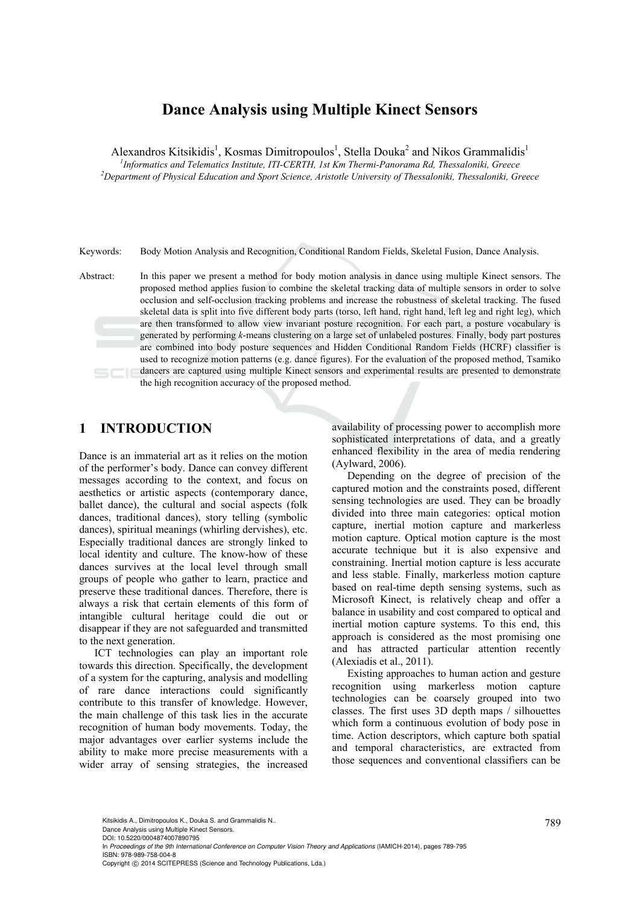# **Dance Analysis using Multiple Kinect Sensors**

Alexandros Kitsikidis<sup>1</sup>, Kosmas Dimitropoulos<sup>1</sup>, Stella Douka<sup>2</sup> and Nikos Grammalidis<sup>1</sup>

<sup>1</sup> *Informatics and Telematics Institute, ITI-CERTH, 1st Km Thermi-Panorama Rd, Thessaloniki, Greece* <sup>2</sup><br>
<sup>2</sup> Deneutreent of Physical Education and Sport Science, Aristatle University of Thessaloniki, Thessaloniki, Cre *Department of Physical Education and Sport Science, Aristotle University of Thessaloniki, Thessaloniki, Greece* 

Keywords: Body Motion Analysis and Recognition, Conditional Random Fields, Skeletal Fusion, Dance Analysis.

Abstract: In this paper we present a method for body motion analysis in dance using multiple Kinect sensors. The proposed method applies fusion to combine the skeletal tracking data of multiple sensors in order to solve occlusion and self-occlusion tracking problems and increase the robustness of skeletal tracking. The fused skeletal data is split into five different body parts (torso, left hand, right hand, left leg and right leg), which are then transformed to allow view invariant posture recognition. For each part, a posture vocabulary is generated by performing *k*-means clustering on a large set of unlabeled postures. Finally, body part postures are combined into body posture sequences and Hidden Conditional Random Fields (HCRF) classifier is used to recognize motion patterns (e.g. dance figures). For the evaluation of the proposed method, Tsamiko dancers are captured using multiple Kinect sensors and experimental results are presented to demonstrate the high recognition accuracy of the proposed method.

# **1 INTRODUCTION**

Dance is an immaterial art as it relies on the motion of the performer's body. Dance can convey different messages according to the context, and focus on aesthetics or artistic aspects (contemporary dance, ballet dance), the cultural and social aspects (folk dances, traditional dances), story telling (symbolic dances), spiritual meanings (whirling dervishes), etc. Especially traditional dances are strongly linked to local identity and culture. The know-how of these dances survives at the local level through small groups of people who gather to learn, practice and preserve these traditional dances. Therefore, there is always a risk that certain elements of this form of intangible cultural heritage could die out or disappear if they are not safeguarded and transmitted to the next generation.

ICT technologies can play an important role towards this direction. Specifically, the development of a system for the capturing, analysis and modelling of rare dance interactions could significantly contribute to this transfer of knowledge. However, the main challenge of this task lies in the accurate recognition of human body movements. Today, the major advantages over earlier systems include the ability to make more precise measurements with a wider array of sensing strategies, the increased

availability of processing power to accomplish more sophisticated interpretations of data, and a greatly enhanced flexibility in the area of media rendering (Aylward, 2006).

Depending on the degree of precision of the captured motion and the constraints posed, different sensing technologies are used. They can be broadly divided into three main categories: optical motion capture, inertial motion capture and markerless motion capture. Optical motion capture is the most accurate technique but it is also expensive and constraining. Inertial motion capture is less accurate and less stable. Finally, markerless motion capture based on real-time depth sensing systems, such as Microsoft Kinect, is relatively cheap and offer a balance in usability and cost compared to optical and inertial motion capture systems. To this end, this approach is considered as the most promising one and has attracted particular attention recently (Alexiadis et al., 2011).

Existing approaches to human action and gesture recognition using markerless motion capture technologies can be coarsely grouped into two classes. The first uses 3D depth maps / silhouettes which form a continuous evolution of body pose in time. Action descriptors, which capture both spatial and temporal characteristics, are extracted from those sequences and conventional classifiers can be

789 Kitsikidis A., Dimitropoulos K., Douka S. and Grammalidis N..

Dance Analysis using Multiple Kinect Sensors.

DOI: 10.5220/0004874007890795

In *Proceedings of the 9th International Conference on Computer Vision Theory and Applications* (IAMICH-2014), pages 789-795 ISBN: 978-989-758-004-8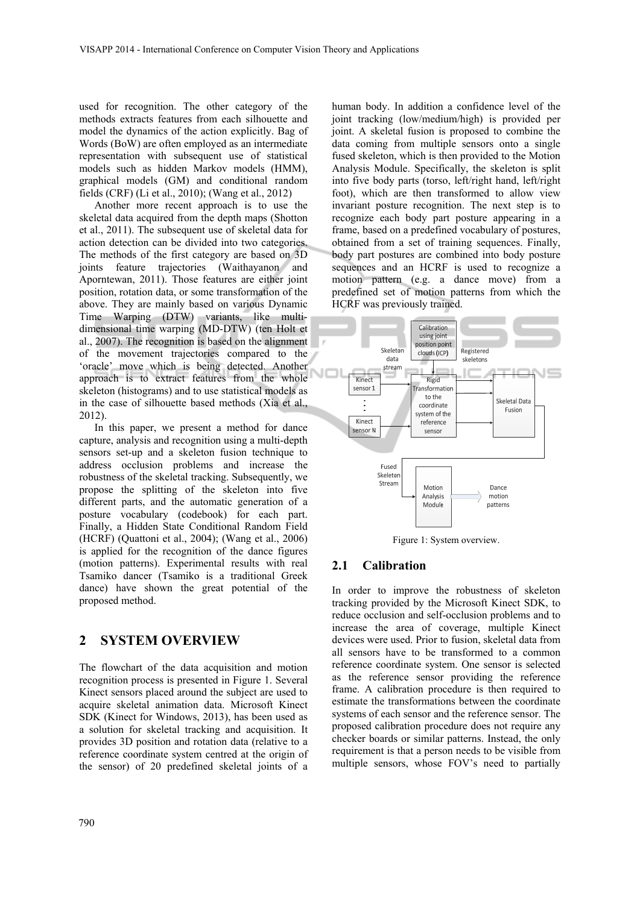used for recognition. The other category of the methods extracts features from each silhouette and model the dynamics of the action explicitly. Bag of Words (BoW) are often employed as an intermediate representation with subsequent use of statistical models such as hidden Markov models (HMM), graphical models (GM) and conditional random fields (CRF) (Li et al., 2010); (Wang et al., 2012)

Another more recent approach is to use the skeletal data acquired from the depth maps (Shotton et al., 2011). The subsequent use of skeletal data for action detection can be divided into two categories. The methods of the first category are based on 3D joints feature trajectories (Waithayanon and Aporntewan, 2011). Those features are either joint position, rotation data, or some transformation of the above. They are mainly based on various Dynamic Time Warping (DTW) variants, like multidimensional time warping (MD-DTW) (ten Holt et al., 2007). The recognition is based on the alignment of the movement trajectories compared to the 'oracle' move which is being detected. Another approach is to extract features from the whole skeleton (histograms) and to use statistical models as in the case of silhouette based methods (Xia et al., 2012).

In this paper, we present a method for dance capture, analysis and recognition using a multi-depth sensors set-up and a skeleton fusion technique to address occlusion problems and increase the robustness of the skeletal tracking. Subsequently, we propose the splitting of the skeleton into five different parts, and the automatic generation of a posture vocabulary (codebook) for each part. Finally, a Hidden State Conditional Random Field (HCRF) (Quattoni et al., 2004); (Wang et al., 2006) is applied for the recognition of the dance figures (motion patterns). Experimental results with real Tsamiko dancer (Tsamiko is a traditional Greek dance) have shown the great potential of the proposed method.

# **2 SYSTEM OVERVIEW**

The flowchart of the data acquisition and motion recognition process is presented in Figure 1. Several Kinect sensors placed around the subject are used to acquire skeletal animation data. Microsoft Kinect SDK (Kinect for Windows, 2013), has been used as a solution for skeletal tracking and acquisition. It provides 3D position and rotation data (relative to a reference coordinate system centred at the origin of the sensor) of 20 predefined skeletal joints of a human body. In addition a confidence level of the joint tracking (low/medium/high) is provided per joint. A skeletal fusion is proposed to combine the data coming from multiple sensors onto a single fused skeleton, which is then provided to the Motion Analysis Module. Specifically, the skeleton is split into five body parts (torso, left/right hand, left/right foot), which are then transformed to allow view invariant posture recognition. The next step is to recognize each body part posture appearing in a frame, based on a predefined vocabulary of postures, obtained from a set of training sequences. Finally, body part postures are combined into body posture sequences and an HCRF is used to recognize a motion pattern (e.g. a dance move) from a predefined set of motion patterns from which the HCRF was previously trained.



Figure 1: System overview.

### **2.1 Calibration**

In order to improve the robustness of skeleton tracking provided by the Microsoft Kinect SDK, to reduce occlusion and self-occlusion problems and to increase the area of coverage, multiple Kinect devices were used. Prior to fusion, skeletal data from all sensors have to be transformed to a common reference coordinate system. One sensor is selected as the reference sensor providing the reference frame. A calibration procedure is then required to estimate the transformations between the coordinate systems of each sensor and the reference sensor. The proposed calibration procedure does not require any checker boards or similar patterns. Instead, the only requirement is that a person needs to be visible from multiple sensors, whose FOV's need to partially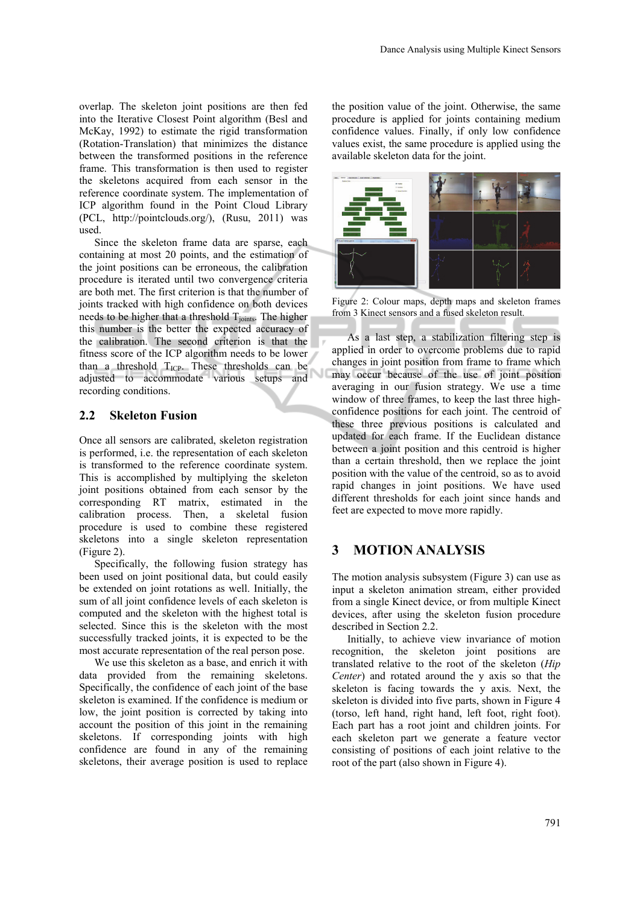overlap. The skeleton joint positions are then fed into the Iterative Closest Point algorithm (Besl and McKay, 1992) to estimate the rigid transformation (Rotation-Translation) that minimizes the distance between the transformed positions in the reference frame. This transformation is then used to register the skeletons acquired from each sensor in the reference coordinate system. The implementation of ICP algorithm found in the Point Cloud Library (PCL, http://pointclouds.org/), (Rusu, 2011) was used.

Since the skeleton frame data are sparse, each containing at most 20 points, and the estimation of the joint positions can be erroneous, the calibration procedure is iterated until two convergence criteria are both met. The first criterion is that the number of joints tracked with high confidence on both devices needs to be higher that a threshold  $T_{\text{joints}}$ . The higher this number is the better the expected accuracy of the calibration. The second criterion is that the fitness score of the ICP algorithm needs to be lower than a threshold  $T_{\text{ICP}}$ . These thresholds can be adjusted to accommodate various setups and recording conditions.

### **2.2 Skeleton Fusion**

Once all sensors are calibrated, skeleton registration is performed, i.e. the representation of each skeleton is transformed to the reference coordinate system. This is accomplished by multiplying the skeleton joint positions obtained from each sensor by the corresponding RT matrix, estimated in the calibration process. Then, a skeletal fusion procedure is used to combine these registered skeletons into a single skeleton representation (Figure 2).

Specifically, the following fusion strategy has been used on joint positional data, but could easily be extended on joint rotations as well. Initially, the sum of all joint confidence levels of each skeleton is computed and the skeleton with the highest total is selected. Since this is the skeleton with the most successfully tracked joints, it is expected to be the most accurate representation of the real person pose.

We use this skeleton as a base, and enrich it with data provided from the remaining skeletons. Specifically, the confidence of each joint of the base skeleton is examined. If the confidence is medium or low, the joint position is corrected by taking into account the position of this joint in the remaining skeletons. If corresponding joints with high confidence are found in any of the remaining skeletons, their average position is used to replace

the position value of the joint. Otherwise, the same procedure is applied for joints containing medium confidence values. Finally, if only low confidence values exist, the same procedure is applied using the available skeleton data for the joint.



Figure 2: Colour maps, depth maps and skeleton frames from 3 Kinect sensors and a fused skeleton result.

As a last step, a stabilization filtering step is applied in order to overcome problems due to rapid changes in joint position from frame to frame which may occur because of the use of joint position averaging in our fusion strategy. We use a time window of three frames, to keep the last three highconfidence positions for each joint. The centroid of these three previous positions is calculated and updated for each frame. If the Euclidean distance between a joint position and this centroid is higher than a certain threshold, then we replace the joint position with the value of the centroid, so as to avoid rapid changes in joint positions. We have used different thresholds for each joint since hands and feet are expected to move more rapidly.

# **3 MOTION ANALYSIS**

The motion analysis subsystem (Figure 3) can use as input a skeleton animation stream, either provided from a single Kinect device, or from multiple Kinect devices, after using the skeleton fusion procedure described in Section 2.2.

Initially, to achieve view invariance of motion recognition, the skeleton joint positions are translated relative to the root of the skeleton (*Hip Center*) and rotated around the y axis so that the skeleton is facing towards the y axis. Next, the skeleton is divided into five parts, shown in Figure 4 (torso, left hand, right hand, left foot, right foot). Each part has a root joint and children joints. For each skeleton part we generate a feature vector consisting of positions of each joint relative to the root of the part (also shown in Figure 4).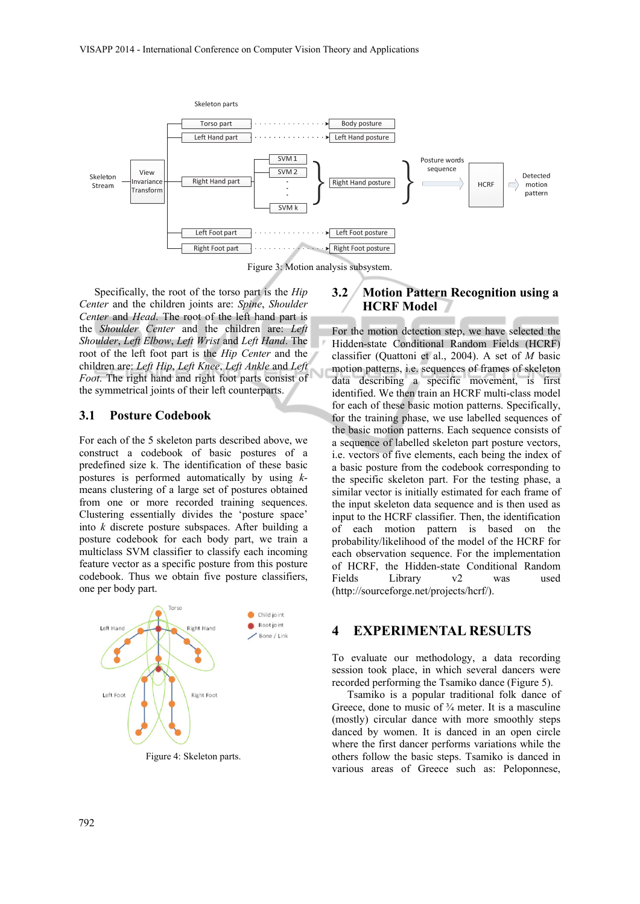

Figure 3: Motion analysis subsystem.

Specifically, the root of the torso part is the *Hip Center* and the children joints are: *Spine*, *Shoulder Center* and *Head*. The root of the left hand part is the *Shoulder Center* and the children are: *Left Shoulder*, *Left Elbow*, *Left Wrist* and *Left Hand*. The root of the left foot part is the *Hip Center* and the children are: *Left Hip*, *Left Knee*, *Left Ankle* and *Left Foot*. The right hand and right foot parts consist of the symmetrical joints of their left counterparts.

#### **3.1 Posture Codebook**

For each of the 5 skeleton parts described above, we construct a codebook of basic postures of a predefined size k. The identification of these basic postures is performed automatically by using *k*means clustering of a large set of postures obtained from one or more recorded training sequences. Clustering essentially divides the 'posture space' into *k* discrete posture subspaces. After building a posture codebook for each body part, we train a multiclass SVM classifier to classify each incoming feature vector as a specific posture from this posture codebook. Thus we obtain five posture classifiers, one per body part.



## **3.2 Motion Pattern Recognition using a HCRF Model**

For the motion detection step, we have selected the Hidden-state Conditional Random Fields (HCRF) classifier (Quattoni et al., 2004). A set of *M* basic motion patterns, i.e. sequences of frames of skeleton data describing a specific movement, is first identified. We then train an HCRF multi-class model for each of these basic motion patterns. Specifically, for the training phase, we use labelled sequences of the basic motion patterns. Each sequence consists of a sequence of labelled skeleton part posture vectors, i.e. vectors of five elements, each being the index of a basic posture from the codebook corresponding to the specific skeleton part. For the testing phase, a similar vector is initially estimated for each frame of the input skeleton data sequence and is then used as input to the HCRF classifier. Then, the identification of each motion pattern is based on the probability/likelihood of the model of the HCRF for each observation sequence. For the implementation of HCRF, the Hidden-state Conditional Random Fields Library v2 was used (http://sourceforge.net/projects/hcrf/).

## **4 EXPERIMENTAL RESULTS**

To evaluate our methodology, a data recording session took place, in which several dancers were recorded performing the Tsamiko dance (Figure 5).

Tsamiko is a popular traditional folk dance of Greece, done to music of  $\frac{3}{4}$  meter. It is a masculine (mostly) circular dance with more smoothly steps danced by women. It is danced in an open circle where the first dancer performs variations while the others follow the basic steps. Tsamiko is danced in various areas of Greece such as: Peloponnese,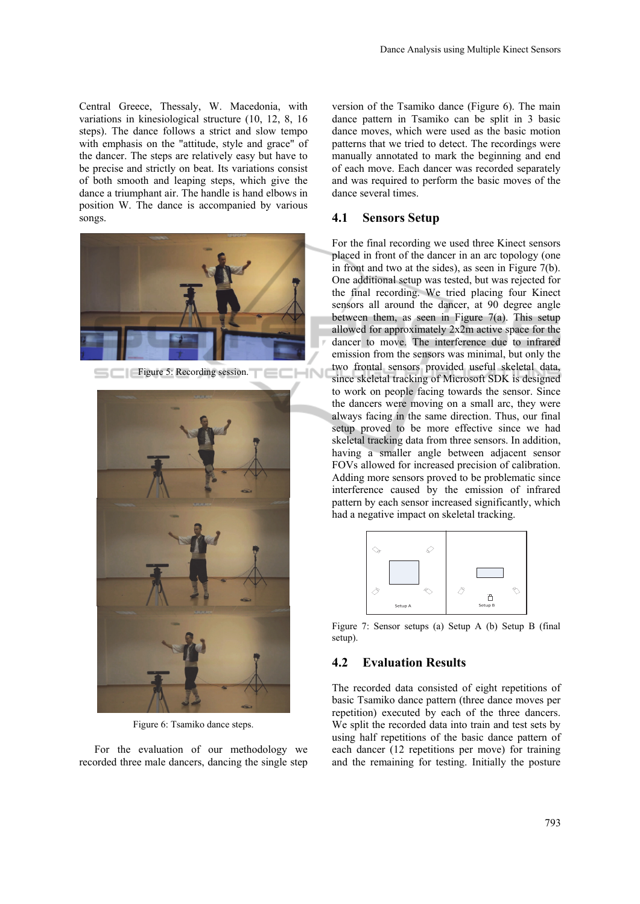Central Greece, Thessaly, W. Macedonia, with variations in kinesiological structure (10, 12, 8, 16 steps). The dance follows a strict and slow tempo with emphasis on the "attitude, style and grace" of the dancer. The steps are relatively easy but have to be precise and strictly on beat. Its variations consist of both smooth and leaping steps, which give the dance a triumphant air. The handle is hand elbows in position W. The dance is accompanied by various songs.



Figure 5: Recording session.



Figure 6: Tsamiko dance steps.

For the evaluation of our methodology we recorded three male dancers, dancing the single step

version of the Tsamiko dance (Figure 6). The main dance pattern in Tsamiko can be split in 3 basic dance moves, which were used as the basic motion patterns that we tried to detect. The recordings were manually annotated to mark the beginning and end of each move. Each dancer was recorded separately and was required to perform the basic moves of the dance several times.

### **4.1 Sensors Setup**

For the final recording we used three Kinect sensors placed in front of the dancer in an arc topology (one in front and two at the sides), as seen in Figure 7(b). One additional setup was tested, but was rejected for the final recording. We tried placing four Kinect sensors all around the dancer, at 90 degree angle between them, as seen in Figure 7(a). This setup allowed for approximately 2x2m active space for the dancer to move. The interference due to infrared emission from the sensors was minimal, but only the two frontal sensors provided useful skeletal data, since skeletal tracking of Microsoft SDK is designed to work on people facing towards the sensor. Since the dancers were moving on a small arc, they were always facing in the same direction. Thus, our final setup proved to be more effective since we had skeletal tracking data from three sensors. In addition, having a smaller angle between adjacent sensor FOVs allowed for increased precision of calibration. Adding more sensors proved to be problematic since interference caused by the emission of infrared pattern by each sensor increased significantly, which had a negative impact on skeletal tracking.



Figure 7: Sensor setups (a) Setup A (b) Setup B (final setup).

## **4.2 Evaluation Results**

The recorded data consisted of eight repetitions of basic Tsamiko dance pattern (three dance moves per repetition) executed by each of the three dancers. We split the recorded data into train and test sets by using half repetitions of the basic dance pattern of each dancer (12 repetitions per move) for training and the remaining for testing. Initially the posture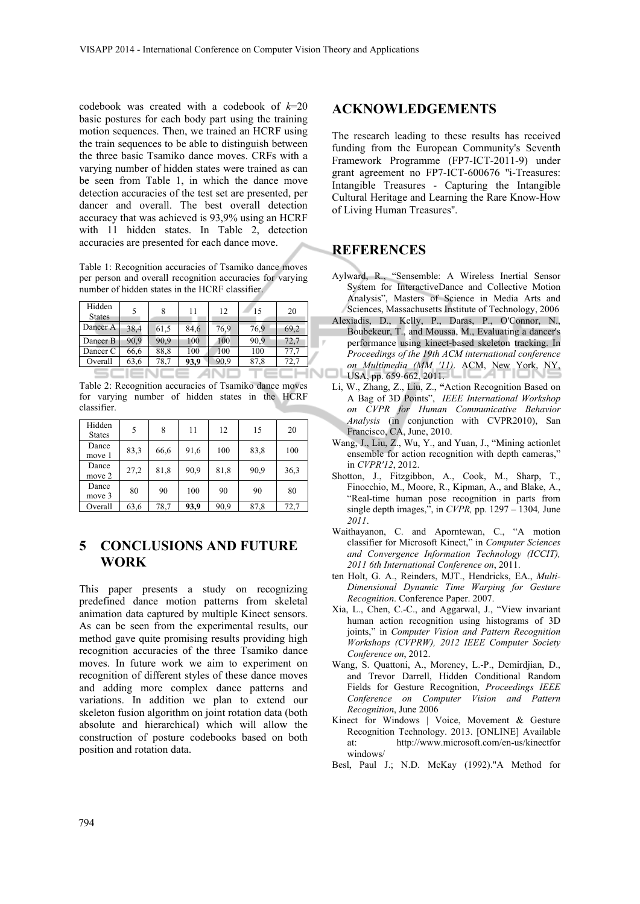codebook was created with a codebook of *k*=20 basic postures for each body part using the training motion sequences. Then, we trained an HCRF using the train sequences to be able to distinguish between the three basic Tsamiko dance moves. CRFs with a varying number of hidden states were trained as can be seen from Table 1, in which the dance move detection accuracies of the test set are presented, per dancer and overall. The best overall detection accuracy that was achieved is 93,9% using an HCRF with 11 hidden states. In Table 2, detection accuracies are presented for each dance move.

Table 1: Recognition accuracies of Tsamiko dance moves per person and overall recognition accuracies for varying number of hidden states in the HCRF classifier.

| Hidden<br><b>States</b> |      | 8    | 11   | 12   | 15   | 20   |
|-------------------------|------|------|------|------|------|------|
| Dancer A                | 38,4 | 61,5 | 84,6 | 76,9 | 76.9 | 69,2 |
| Dancer B                | 90,9 | 90,9 | 100  | 100  | 90,9 | 72.7 |
| Dancer C                | 66,6 | 88,8 | 100  | 100  | 100  | 17.  |
| Overall                 | 63,6 | 78.7 | 93,9 | 90,9 | 87,8 | 72.7 |
|                         |      |      |      |      |      |      |

Table 2: Recognition accuracies of Tsamiko dance moves for varying number of hidden states in the HCRF classifier.

| Hidden<br><b>States</b> | 5    | 8    | 11   | 12   | 15   | 20   |
|-------------------------|------|------|------|------|------|------|
| Dance<br>move 1         | 83,3 | 66,6 | 91,6 | 100  | 83,8 | 100  |
| Dance<br>move 2         | 27,2 | 81,8 | 90,9 | 81,8 | 90,9 | 36,3 |
| Dance<br>move 3         | 80   | 90   | 100  | 90   | 90   | 80   |
| Overall                 | 63,6 | 78,7 | 93,9 | 90,9 | 87,8 | 72,7 |

# **5 CONCLUSIONS AND FUTURE WORK**

This paper presents a study on recognizing predefined dance motion patterns from skeletal animation data captured by multiple Kinect sensors. As can be seen from the experimental results, our method gave quite promising results providing high recognition accuracies of the three Tsamiko dance moves. In future work we aim to experiment on recognition of different styles of these dance moves and adding more complex dance patterns and variations. In addition we plan to extend our skeleton fusion algorithm on joint rotation data (both absolute and hierarchical) which will allow the construction of posture codebooks based on both position and rotation data.

## **ACKNOWLEDGEMENTS**

The research leading to these results has received funding from the European Community's Seventh Framework Programme (FP7-ICT-2011-9) under grant agreement no FP7-ICT-600676 ''i-Treasures: Intangible Treasures - Capturing the Intangible Cultural Heritage and Learning the Rare Know-How of Living Human Treasures''.

## **REFERENCES**

- Aylward, R., "Sensemble: A Wireless Inertial Sensor System for InteractiveDance and Collective Motion Analysis", Masters of Science in Media Arts and Sciences, Massachusetts Institute of Technology, 2006
- Alexiadis, D., Kelly, P., Daras, P., O'Connor, N., Boubekeur, T., and Moussa, M., Evaluating a dancer's performance using kinect-based skeleton tracking. In *Proceedings of the 19th ACM international conference on Multimedia (MM '11)*. ACM, New York, NY, USA, pp. 659-662, 2011.
- Li, W., Zhang, Z., Liu, Z., **"**Action Recognition Based on A Bag of 3D Points", *IEEE International Workshop on CVPR for Human Communicative Behavior Analysis* (in conjunction with CVPR2010), San Francisco, CA, June, 2010.
- Wang, J., Liu, Z., Wu, Y., and Yuan, J., "Mining actionlet ensemble for action recognition with depth cameras," in *CVPR'12*, 2012.
- Shotton, J., Fitzgibbon, A., Cook, M., Sharp, T., Finocchio, M., Moore, R., Kipman, A., and Blake, A., "Real-time human pose recognition in parts from single depth images,", in *CVPR,* pp. 1297 – 1304*,* June *2011*.
- Waithayanon, C. and Aporntewan, C., "A motion classifier for Microsoft Kinect," in *Computer Sciences and Convergence Information Technology (ICCIT), 2011 6th International Conference on*, 2011.
- ten Holt, G. A., Reinders, MJT., Hendricks, EA., *Multi-Dimensional Dynamic Time Warping for Gesture Recognition*. Conference Paper. 2007.
- Xia, L., Chen, C.-C., and Aggarwal, J., "View invariant human action recognition using histograms of 3D joints," in *Computer Vision and Pattern Recognition Workshops (CVPRW), 2012 IEEE Computer Society Conference on*, 2012.
- Wang, S. Quattoni, A., Morency, L.-P., Demirdjian, D., and Trevor Darrell, Hidden Conditional Random Fields for Gesture Recognition, *Proceedings IEEE Conference on Computer Vision and Pattern Recognition*, June 2006
- Kinect for Windows | Voice, Movement & Gesture Recognition Technology. 2013. [ONLINE] Available at: http://www.microsoft.com/en-us/kinectfor windows/
- Besl, Paul J.; N.D. McKay (1992)."A Method for